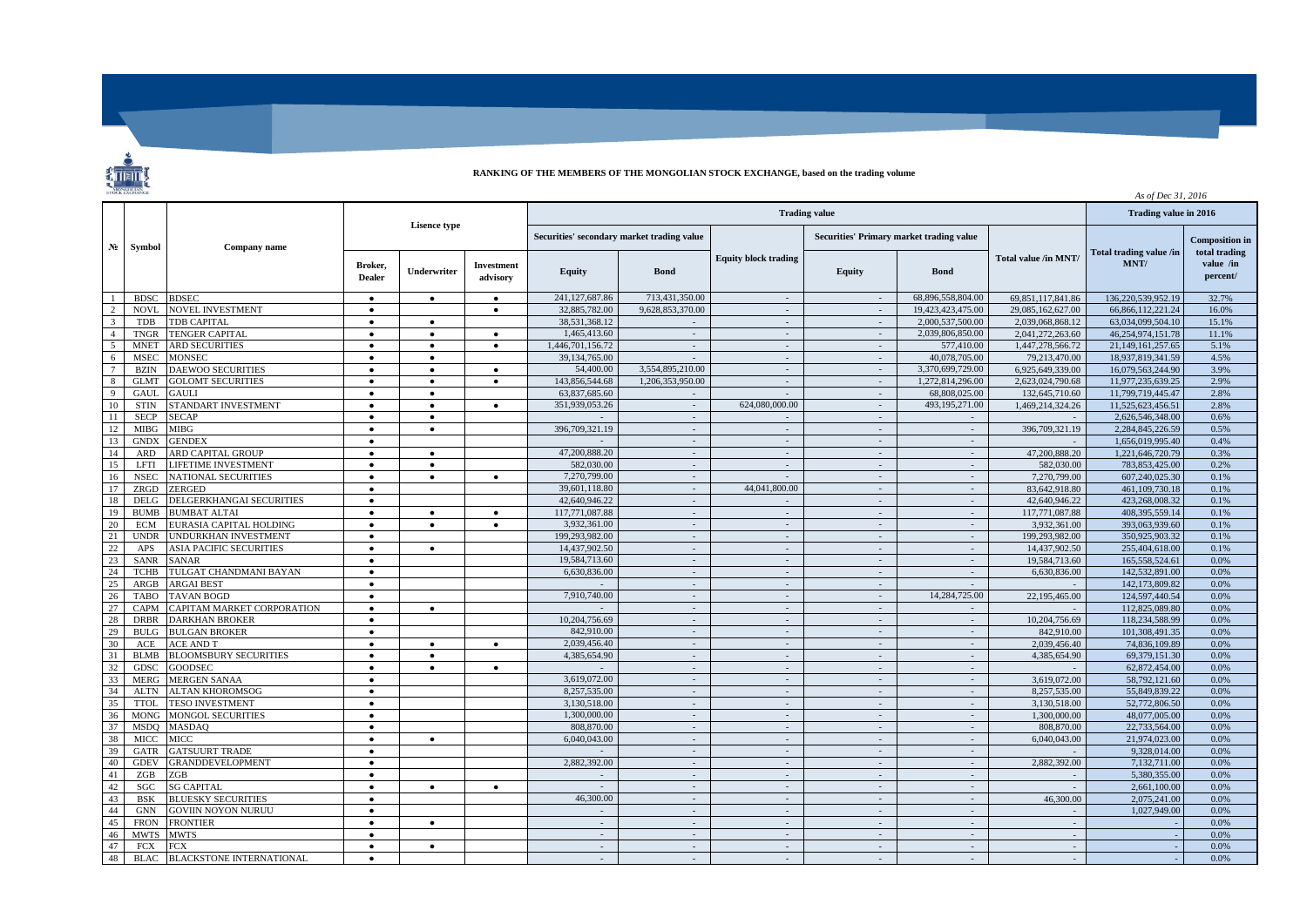

## **RANKING OF THE MEMBERS OF THE MONGOLIAN STOCK EXCHANGE, based on the trading volume**

|                           | STOCK EXCHANGE |                                 |                     |           |                                            |                          |                               |                                          |                          |                             | As of Dec 31, 2016    |                       |                            |
|---------------------------|----------------|---------------------------------|---------------------|-----------|--------------------------------------------|--------------------------|-------------------------------|------------------------------------------|--------------------------|-----------------------------|-----------------------|-----------------------|----------------------------|
| N <sub>2</sub>            | Symbol         | Company name                    |                     |           |                                            |                          | Trading value in 2016         |                                          |                          |                             |                       |                       |                            |
|                           |                |                                 | <b>Lisence type</b> |           | Securities' secondary market trading value |                          |                               | Securities' Primary market trading value |                          |                             |                       | <b>Composition</b> in |                            |
|                           |                |                                 |                     |           | Broker,<br><b>Dealer</b>                   | <b>Underwriter</b>       | <b>Investment</b><br>advisory | <b>Equity</b>                            | <b>Bond</b>              | <b>Equity block trading</b> | <b>Equity</b>         | <b>Bond</b>           | <b>Total value /in MNT</b> |
| $\overline{1}$            | <b>BDSC</b>    | <b>BDSEC</b>                    | $\bullet$           | $\bullet$ | $\bullet$                                  | 241,127,687.86           | 713,431,350.00                | $\sim$                                   | $\sim$                   | 68,896,558,804.00           | 69, 851, 117, 841. 86 | 136,220,539,952.19    | 32.7%                      |
| $\mathcal{D}$             | <b>NOVL</b>    | NOVEL INVESTMENT                | $\bullet$           |           | $\bullet$                                  | 32,885,782.00            | 9,628,853,370.00              | $\sim$                                   | $\sim$                   | 19,423,423,475.00           | 29,085,162,627.00     | 66,866,112,221.24     | 16.0%                      |
| $\overline{\mathbf{3}}$   | <b>TDB</b>     | <b>TDB CAPITAL</b>              | $\bullet$           | $\bullet$ |                                            | 38,531,368.12            |                               | $\sim$                                   | $\sim$                   | 2,000,537,500.00            | 2.039.068.868.12      | 63,034,099,504.10     | 15.1%                      |
| $\overline{4}$            | <b>TNGR</b>    | <b>TENGER CAPITAL</b>           | $\bullet$           | $\bullet$ | $\bullet$                                  | 1.465,413.60             | $\sim$                        | $\sim$                                   | $\sim$                   | 2.039.806.850.00            | 2.041.272.263.60      | 46.254.974.151.78     | 11.1%                      |
| 5                         | <b>MNET</b>    | <b>ARD SECURITIES</b>           | $\bullet$           | $\bullet$ | $\bullet$                                  | 1,446,701,156.72         | $\sim$                        | $\sim$                                   | $\sim$                   | 577,410.00                  | 1,447,278,566.72      | 21,149,161,257.65     | 5.1%                       |
| 6                         | <b>MSEC</b>    | <b>MONSEC</b>                   | $\bullet$           | $\bullet$ |                                            | 39,134,765.00            | $\sim$                        | $\sim$                                   | $\sim$                   | 40,078,705.00               | 79,213,470.00         | 18.937.819.341.59     | 4.5%                       |
| $7\phantom{.0}$           | <b>BZIN</b>    | <b>DAEWOO SECURITIES</b>        | $\bullet$           | $\bullet$ | $\bullet$                                  | 54,400.00                | 3,554,895,210.00              | $\sim$                                   | $\sim$                   | 3.370.699.729.00            | 6.925.649.339.00      | 16.079.563.244.90     | 3.9%                       |
| $\overline{\phantom{0}8}$ | <b>GLMT</b>    | <b>GOLOMT SECURITIES</b>        |                     | $\bullet$ | $\bullet$                                  | 143,856,544.68           | 1,206,353,950.00              | $\sim$                                   | $\sim$                   | 1,272,814,296.00            | 2,623,024,790.68      | 11,977,235,639.25     | 2.9%                       |
| $\overline{9}$            | <b>GAUL</b>    | <b>GAULI</b>                    | $\bullet$           | $\bullet$ |                                            | 63,837,685.60            | $\sim$                        | $\sim$                                   | $\sim$                   | 68,808,025,00               | 132,645,710.60        | 11,799,719,445.47     | 2.8%                       |
| 10                        | <b>STIN</b>    | <b>STANDART INVESTMENT</b>      | $\bullet$           | $\bullet$ | $\bullet$                                  | 351.939.053.26           | $\sim$                        | 624,080,000,00                           | $\mathcal{L}$            | 493,195,271.00              | 1.469.214.324.26      | 11.525.623.456.51     | 2.8%                       |
| $\overline{11}$           | <b>SECP</b>    | <b>SECAP</b>                    | $\bullet$           | $\bullet$ |                                            |                          | $\sim$                        | $\overline{\phantom{a}}$                 | $\sim$                   | $\sim$                      |                       | 2,626,546,348.00      | 0.6%                       |
| 12                        | <b>MIBG</b>    | MIBG                            | $\bullet$           | $\bullet$ |                                            | 396,709,321.19           | $\sim$                        | $\sim$                                   | $\sim$                   | $\sim$                      | 396,709,321.19        | 2.284,845,226.59      | 0.5%                       |
| 13                        | <b>GNDX</b>    | <b>GENDEX</b>                   | $\bullet$           |           |                                            |                          | $\sim$                        | $\sim$                                   | $\sim$                   | $\sim$                      |                       | 1.656.019.995.40      | 0.4%                       |
| 14                        | ARD            | ARD CAPITAL GROUP               |                     | $\bullet$ |                                            | 47,200,888.20            | $\mathcal{L}_{\mathcal{A}}$   | $\sim$                                   | $\sim$                   | $\sim$                      | 47,200,888.20         | 1,221,646,720.79      | 0.3%                       |
| 15                        | LFTI           | <b>JFETIME INVESTMENT</b>       | $\bullet$           | $\bullet$ |                                            | 582,030.00               | $\sim$                        | $\sim$                                   | $\sim$                   | $\sim$                      | 582,030.00            | 783,853,425.00        | 0.2%                       |
| -16                       | <b>NSEC</b>    | <b>NATIONAL SECURITIES</b>      | $\bullet$           | $\bullet$ | $\bullet$                                  | 7,270,799.00             | $\sim$                        | $\sim$                                   | $\sim$                   | $\sim$                      | 7.270.799.00          | 607.240.025.30        | 0.1%                       |
| 17                        | ZRGD           | ZERGED                          | $\bullet$           |           |                                            | 39,601,118.80            | $\sim$                        | 44,041,800.00                            | $\sim$                   | $\mathcal{L}$               | 83,642,918.80         | 461,109,730.18        | 0.1%                       |
| 18                        | <b>DELG</b>    | DELGERKHANGAI SECURITIES        | $\bullet$           |           |                                            | 42,640,946.22            | $\sim$                        | $\sim$                                   | $\sim$                   | $\sim$                      | 42.640.946.22         | 423,268,008.32        | 0.1%                       |
| 19                        | <b>BUMB</b>    | <b>BUMBAT ALTAI</b>             | $\bullet$           | $\bullet$ | $\bullet$                                  | 117,771,087.88           | $\sim$                        | $\sim$                                   | $\sim$                   | $\sim$                      | 117,771,087.88        | 408.395.559.14        | 0.1%                       |
| 20                        | <b>ECM</b>     | EURASIA CAPITAL HOLDING         | $\bullet$           | $\bullet$ | $\bullet$                                  | 3,932,361.00             | $\mathbb{Z}^2$                | $\mathcal{L}$                            | $\sim$                   | $\sim$                      | 3,932,361.00          | 393,063,939.60        | 0.1%                       |
| 21                        | <b>UNDR</b>    | <b>JNDURKHAN INVESTMENT</b>     | $\bullet$           |           |                                            | 199,293,982.00           | $\sim$                        | $\sim$                                   | $\sim$                   | $\sim$                      | 199.293.982.00        | 350.925.903.32        | 0.1%                       |
| 22                        | APS            | <b>ASIA PACIFIC SECURITIES</b>  | $\bullet$           | $\bullet$ |                                            | 14,437,902.50            | $\sim$                        | $\sim$                                   | $\sim$                   | $\sim$                      | 14,437,902.50         | 255,404,618.00        | 0.1%                       |
| 23                        | <b>SANR</b>    | SANAR                           | $\bullet$           |           |                                            | 19,584,713.60            | $\sim$                        | $\sim$                                   | $\sim$                   | $\sim$                      | 19,584,713.60         | 165,558,524.61        | 0.0%                       |
| 24                        | <b>TCHB</b>    | <b>TULGAT CHANDMANI BAYAN</b>   | $\bullet$           |           |                                            | 6,630,836.00             | $\sim$                        | $\sim$                                   | $\sim$                   | $\sim$                      | 6.630.836.00          | 142.532.891.00        | 0.0%                       |
| 25                        | ARGB           | <b>ARGAI BEST</b>               | $\bullet$           |           |                                            |                          | $\sim$                        | $\sim$                                   | $\sim$                   |                             |                       | 142,173,809.82        | 0.0%                       |
| 26                        | <b>TABO</b>    | <b>TAVAN BOGD</b>               | $\bullet$           |           |                                            | 7,910,740.00             | $\sim$                        | $\sim$                                   | $\sim$                   | 14,284,725.00               | 22,195,465.00         | 124,597,440.54        | 0.0%                       |
| 27                        | CAPM           | CAPITAM MARKET CORPORATION      | $\bullet$           | $\bullet$ |                                            |                          | $\sim$                        | $\sim$                                   | $\sim$                   | $\sim$                      |                       | 112,825,089.80        | 0.0%                       |
| 28                        | <b>DRBR</b>    | <b>DARKHAN BROKER</b>           | $\bullet$           |           |                                            | 10,204,756.69            | $\sim$                        | $\sim$                                   | $\overline{\phantom{a}}$ | $\mathcal{L}$               | 10,204,756.69         | 118,234,588.99        | 0.0%                       |
| 29                        | <b>BULG</b>    | <b>BULGAN BROKER</b>            | $\bullet$           |           |                                            | 842,910.00               | $\sim$                        | $\sim$                                   | $\sim$                   | $\sim$                      | 842,910.00            | 101.308.491.35        | 0.0%                       |
| 30                        | ACE            | <b>ACE AND T</b>                | $\bullet$           | $\bullet$ | $\bullet$                                  | 2.039.456.40             | $\sim$                        | $\sim$                                   | $\sim$                   | $\sim$                      | 2.039,456.40          | 74,836,109.89         | 0.0%                       |
| 31                        | <b>BLMB</b>    | <b>BLOOMSBURY SECURITIES</b>    |                     | $\bullet$ |                                            | 4,385,654.90             | $\sim$                        | $\mathcal{L}_{\mathcal{A}}$              | $\overline{\phantom{a}}$ | $\mathcal{L}$               | 4,385,654.90          | 69,379,151.30         | 0.0%                       |
| 32                        | <b>GDSC</b>    | GOODSEC                         | $\bullet$           | $\bullet$ | $\bullet$                                  |                          | $\sim$                        | $\sim$                                   | $\sim$                   | $\sim$                      |                       | 62,872,454.00         | 0.0%                       |
| 33                        | <b>MERG</b>    | <b>MERGEN SANAA</b>             | $\bullet$           |           |                                            | 3.619.072.00             | $\sim$                        | $\sim$                                   | $\sim$                   | $\sim$                      | 3.619.072.00          | 58,792,121.60         | 0.0%                       |
| 34                        | <b>ALTN</b>    | <b>ALTAN KHOROMSOG</b>          | $\bullet$           |           |                                            | 8,257,535.00             | $\mathcal{L}$                 | $\sim$                                   | $\sim$                   | $\overline{\phantom{a}}$    | 8,257,535.00          | 55,849,839.22         | 0.0%                       |
| 35                        | <b>TTOL</b>    | <b>TESO INVESTMENT</b>          | $\bullet$           |           |                                            | 3.130.518.00             | $\sim$                        | $\sim$                                   | $\sim$                   | $\sim$                      | 3.130.518.00          | 52,772,806.50         | 0.0%                       |
| 36                        | <b>MONG</b>    | <b>MONGOL SECURITIES</b>        | $\bullet$           |           |                                            | 1.300.000.00             | $\sim$                        | $\sim$                                   | $\sim$                   | $\sim$                      | 1.300,000.00          | 48,077,005.00         | 0.0%                       |
| 37                        | <b>MSDO</b>    | <b>MASDAQ</b>                   | $\bullet$           |           |                                            | 808,870.00               | $\sim$                        | $\sim$                                   | $\sim$                   | $\sim$                      | 808,870.00            | 22,733,564.00         | 0.0%                       |
| 38                        | <b>MICC</b>    | MICC                            | $\bullet$           | $\bullet$ |                                            | 6,040,043.00             | $\sim$                        | $\sim$                                   | $\sim$                   | $\sim$                      | 6,040,043.00          | 21,974,023.00         | 0.0%                       |
| 39                        | GATR           | <b>GATSUURT TRADE</b>           | $\bullet$           |           |                                            |                          | $\sim$                        | $\sim$                                   | $\sim$                   | $\sim$                      |                       | 9.328.014.00          | 0.0%                       |
| 40                        | <b>GDEV</b>    | <b>GRANDDEVELOPMENT</b>         | $\bullet$           |           |                                            | 2,882,392.00             | $\sim$                        | $\sim$                                   | $\sim$                   | $\sim$                      | 2,882,392.00          | 7,132,711.00          | 0.0%                       |
| 41                        | ZGB            | ZGB                             | $\bullet$           |           |                                            |                          | $\sim$                        | $\sim$                                   | $\sim$                   | $\sim$                      |                       | 5.380.355.00          | 0.0%                       |
| 42                        | SGC            | <b>SG CAPITAL</b>               | $\bullet$           | $\bullet$ | $\bullet$                                  |                          | $\sim$                        | $\mathcal{L}_{\mathcal{A}}$              | $\sim$                   | $\sim$                      |                       | 2,661,100.00          | 0.0%                       |
| 43                        | <b>BSK</b>     | <b>BLUESKY SECURITIES</b>       | $\bullet$           |           |                                            | 46,300.00                | $\sim$                        | $\sim$                                   | $\sim$                   | $\sim$                      | 46,300.00             | 2,075,241.00          | 0.0%                       |
| 44                        | <b>GNN</b>     | <b>GOVIIN NOYON NURUU</b>       | $\bullet$           |           |                                            | $\sim$                   | $\sim$                        | $\sim$                                   | $\sim$                   | $\sim$                      |                       | 1,027,949.00          | 0.0%                       |
| 45                        | <b>FRON</b>    | <b>FRONTIER</b>                 | $\bullet$           | $\bullet$ |                                            | $\overline{\phantom{a}}$ | $\sim$                        | $\sim$                                   | $\overline{\phantom{a}}$ | $\overline{\phantom{a}}$    |                       |                       | 0.0%                       |
| 46                        | <b>MWTS</b>    | <b>MWTS</b>                     | $\bullet$           |           |                                            | $\sim$                   | $\sim$                        | $\sim$                                   | $\sim$                   | $\sim$                      | $\sim$                |                       | 0.0%                       |
| 47                        | FCX            | FCX                             | $\bullet$           | $\bullet$ |                                            | $\sim$                   | $\sim$                        | $\sim$                                   | $\sim$                   | $\sim$                      | $\sim$                |                       | 0.0%                       |
| 48                        | <b>BLAC</b>    | <b>BLACKSTONE INTERNATIONAL</b> |                     |           |                                            | $\overline{\phantom{a}}$ | $\mathcal{L}$                 | $\mathcal{L}$                            |                          | $\mathcal{L}$               |                       |                       | 0.0%                       |